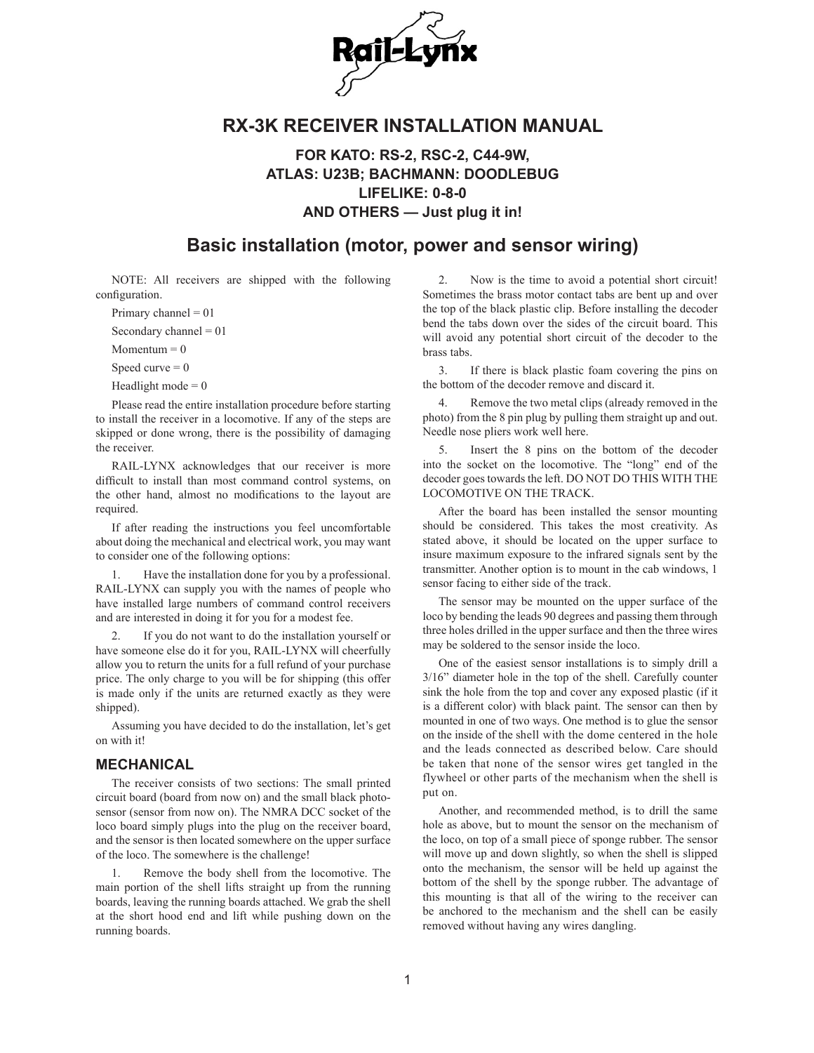

## **RX-3K RECEIVER INSTALLATION MANUAL**

**FOR KATO: RS-2, RSC-2, C44-9W, ATLAS: U23B; BACHMANN: DOODLEBUG LIFELIKE: 0-8-0 AND OTHERS — Just plug it in!**

## **Basic installation (motor, power and sensor wiring)**

NOTE: All receivers are shipped with the following configuration.

Primary channel  $= 01$ 

Secondary channel  $= 01$ 

 $Momentum = 0$ 

Speed curve  $= 0$ 

Headlight mode  $= 0$ 

Please read the entire installation procedure before starting to install the receiver in a locomotive. If any of the steps are skipped or done wrong, there is the possibility of damaging the receiver.

RAIL-LYNX acknowledges that our receiver is more difficult to install than most command control systems, on the other hand, almost no modifications to the layout are required.

If after reading the instructions you feel uncomfortable about doing the mechanical and electrical work, you may want to consider one of the following options:

1. Have the installation done for you by a professional. RAIL-LYNX can supply you with the names of people who have installed large numbers of command control receivers and are interested in doing it for you for a modest fee.

2. If you do not want to do the installation yourself or have someone else do it for you, RAIL-LYNX will cheerfully allow you to return the units for a full refund of your purchase price. The only charge to you will be for shipping (this offer is made only if the units are returned exactly as they were shipped).

Assuming you have decided to do the installation, let's get on with it!

#### **MECHANICAL**

The receiver consists of two sections: The small printed circuit board (board from now on) and the small black photosensor (sensor from now on). The NMRA DCC socket of the loco board simply plugs into the plug on the receiver board, and the sensor is then located somewhere on the upper surface of the loco. The somewhere is the challenge!

1. Remove the body shell from the locomotive. The main portion of the shell lifts straight up from the running boards, leaving the running boards attached. We grab the shell at the short hood end and lift while pushing down on the running boards.

2. Now is the time to avoid a potential short circuit! Sometimes the brass motor contact tabs are bent up and over the top of the black plastic clip. Before installing the decoder bend the tabs down over the sides of the circuit board. This will avoid any potential short circuit of the decoder to the brass tabs.

3. If there is black plastic foam covering the pins on the bottom of the decoder remove and discard it.

4. Remove the two metal clips (already removed in the photo) from the 8 pin plug by pulling them straight up and out. Needle nose pliers work well here.

5. Insert the 8 pins on the bottom of the decoder into the socket on the locomotive. The "long" end of the decoder goes towards the left. DO NOT DO THIS WITH THE LOCOMOTIVE ON THE TRACK.

After the board has been installed the sensor mounting should be considered. This takes the most creativity. As stated above, it should be located on the upper surface to insure maximum exposure to the infrared signals sent by the transmitter. Another option is to mount in the cab windows, 1 sensor facing to either side of the track.

The sensor may be mounted on the upper surface of the loco by bending the leads 90 degrees and passing them through three holes drilled in the upper surface and then the three wires may be soldered to the sensor inside the loco.

One of the easiest sensor installations is to simply drill a 3/16" diameter hole in the top of the shell. Carefully counter sink the hole from the top and cover any exposed plastic (if it is a different color) with black paint. The sensor can then by mounted in one of two ways. One method is to glue the sensor on the inside of the shell with the dome centered in the hole and the leads connected as described below. Care should be taken that none of the sensor wires get tangled in the flywheel or other parts of the mechanism when the shell is put on.

Another, and recommended method, is to drill the same hole as above, but to mount the sensor on the mechanism of the loco, on top of a small piece of sponge rubber. The sensor will move up and down slightly, so when the shell is slipped onto the mechanism, the sensor will be held up against the bottom of the shell by the sponge rubber. The advantage of this mounting is that all of the wiring to the receiver can be anchored to the mechanism and the shell can be easily removed without having any wires dangling.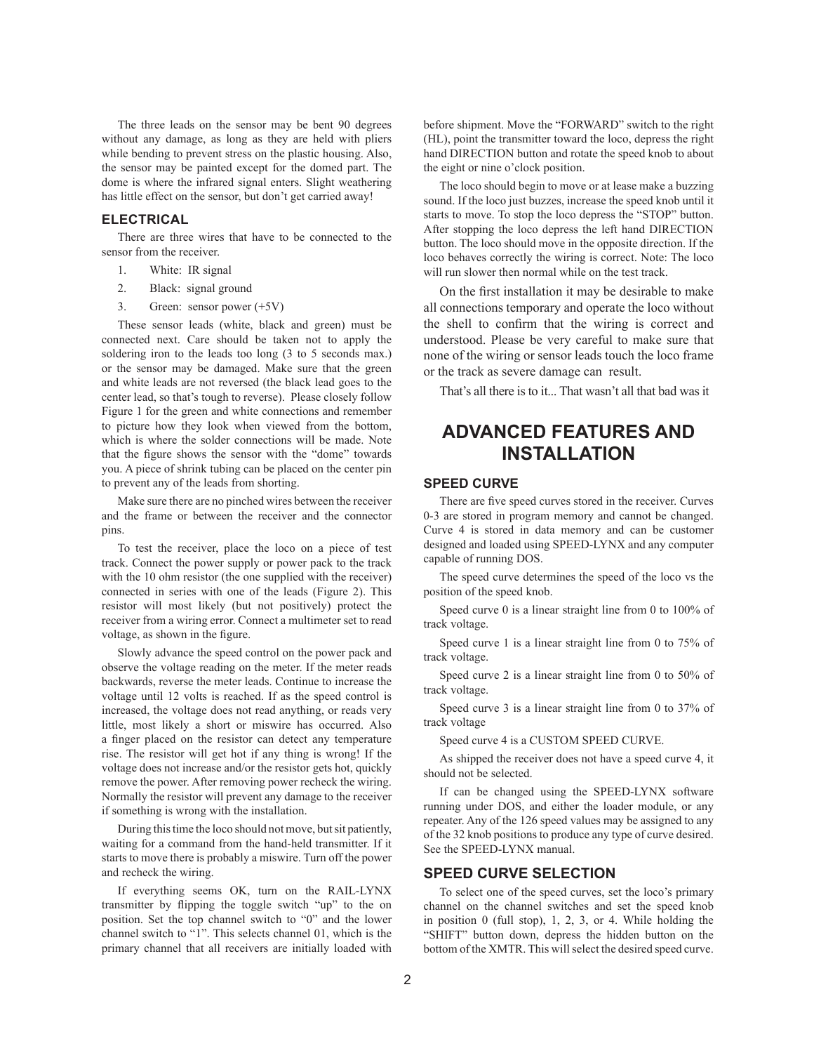The three leads on the sensor may be bent 90 degrees without any damage, as long as they are held with pliers while bending to prevent stress on the plastic housing. Also, the sensor may be painted except for the domed part. The dome is where the infrared signal enters. Slight weathering has little effect on the sensor, but don't get carried away!

#### **ELECTRICAL**

There are three wires that have to be connected to the sensor from the receiver.

- 1. White: IR signal
- 2. Black: signal ground
- 3. Green: sensor power (+5V)

These sensor leads (white, black and green) must be connected next. Care should be taken not to apply the soldering iron to the leads too long (3 to 5 seconds max.) or the sensor may be damaged. Make sure that the green and white leads are not reversed (the black lead goes to the center lead, so that's tough to reverse). Please closely follow Figure 1 for the green and white connections and remember to picture how they look when viewed from the bottom, which is where the solder connections will be made. Note that the figure shows the sensor with the "dome" towards you. A piece of shrink tubing can be placed on the center pin to prevent any of the leads from shorting.

Make sure there are no pinched wires between the receiver and the frame or between the receiver and the connector pins.

To test the receiver, place the loco on a piece of test track. Connect the power supply or power pack to the track with the 10 ohm resistor (the one supplied with the receiver) connected in series with one of the leads (Figure 2). This resistor will most likely (but not positively) protect the receiver from a wiring error. Connect a multimeter set to read voltage, as shown in the figure.

Slowly advance the speed control on the power pack and observe the voltage reading on the meter. If the meter reads backwards, reverse the meter leads. Continue to increase the voltage until 12 volts is reached. If as the speed control is increased, the voltage does not read anything, or reads very little, most likely a short or miswire has occurred. Also a finger placed on the resistor can detect any temperature rise. The resistor will get hot if any thing is wrong! If the voltage does not increase and/or the resistor gets hot, quickly remove the power. After removing power recheck the wiring. Normally the resistor will prevent any damage to the receiver if something is wrong with the installation.

During this time the loco should not move, but sit patiently, waiting for a command from the hand-held transmitter. If it starts to move there is probably a miswire. Turn off the power and recheck the wiring.

If everything seems OK, turn on the RAIL-LYNX transmitter by flipping the toggle switch "up" to the on position. Set the top channel switch to "0" and the lower channel switch to "1". This selects channel 01, which is the primary channel that all receivers are initially loaded with

before shipment. Move the "FORWARD" switch to the right (HL), point the transmitter toward the loco, depress the right hand DIRECTION button and rotate the speed knob to about the eight or nine o'clock position.

The loco should begin to move or at lease make a buzzing sound. If the loco just buzzes, increase the speed knob until it starts to move. To stop the loco depress the "STOP" button. After stopping the loco depress the left hand DIRECTION button. The loco should move in the opposite direction. If the loco behaves correctly the wiring is correct. Note: The loco will run slower then normal while on the test track.

On the first installation it may be desirable to make all connections temporary and operate the loco without the shell to confirm that the wiring is correct and understood. Please be very careful to make sure that none of the wiring or sensor leads touch the loco frame or the track as severe damage can result.

That's all there is to it... That wasn't all that bad was it

# **ADVANCED FEATURES AND INSTALLATION**

#### **SPEED CURVE**

There are five speed curves stored in the receiver. Curves 0-3 are stored in program memory and cannot be changed. Curve 4 is stored in data memory and can be customer designed and loaded using SPEED-LYNX and any computer capable of running DOS.

The speed curve determines the speed of the loco vs the position of the speed knob.

Speed curve 0 is a linear straight line from 0 to 100% of track voltage.

Speed curve 1 is a linear straight line from 0 to 75% of track voltage.

Speed curve 2 is a linear straight line from 0 to 50% of track voltage.

Speed curve 3 is a linear straight line from 0 to 37% of track voltage

Speed curve 4 is a CUSTOM SPEED CURVE.

As shipped the receiver does not have a speed curve 4, it should not be selected.

If can be changed using the SPEED-LYNX software running under DOS, and either the loader module, or any repeater. Any of the 126 speed values may be assigned to any of the 32 knob positions to produce any type of curve desired. See the SPEED-LYNX manual.

#### **SPEED CURVE SELECTION**

To select one of the speed curves, set the loco's primary channel on the channel switches and set the speed knob in position 0 (full stop), 1, 2, 3, or 4. While holding the "SHIFT" button down, depress the hidden button on the bottom of the XMTR. This will select the desired speed curve.